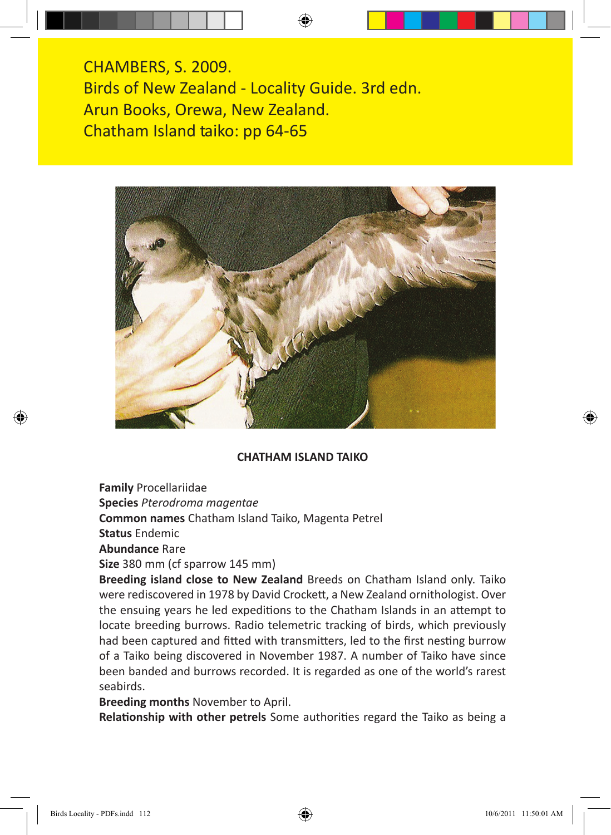CHAMBERS, S. 2009. Birds of New Zealand - Locality Guide. 3rd edn. Arun Books, Orewa, New Zealand. Chatham Island taiko: pp 64-65



## **CHATHAM ISLAND TAIKO**

**Family** Procellariidae

**Species** *Pterodroma magentae*

**Common names** Chatham Island Taiko, Magenta Petrel

**Status** Endemic

**Abundance** Rare

**Size** 380 mm (cf sparrow 145 mm)

**Breeding island close to New Zealand** Breeds on Chatham Island only. Taiko were rediscovered in 1978 by David Crockett, a New Zealand ornithologist. Over the ensuing years he led expeditions to the Chatham Islands in an attempt to locate breeding burrows. Radio telemetric tracking of birds, which previously had been captured and fitted with transmitters, led to the first nesting burrow of a Taiko being discovered in November 1987. A number of Taiko have since been banded and burrows recorded. It is regarded as one of the world's rarest seabirds.

**Breeding months** November to April.

**Relationship with other petrels** Some authorities regard the Taiko as being a